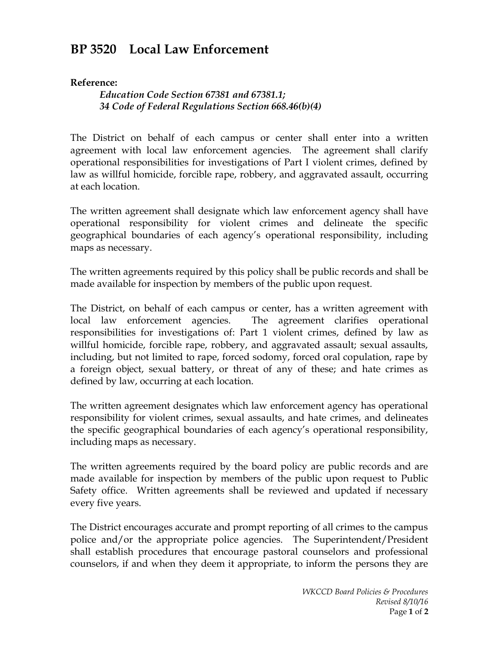## **BP 3520 Local Law Enforcement**

## **Reference:**

*Education Code Section 67381 and 67381.1; 34 Code of Federal Regulations Section 668.46(b)(4)*

The District on behalf of each campus or center shall enter into a written agreement with local law enforcement agencies. The agreement shall clarify operational responsibilities for investigations of Part I violent crimes, defined by law as willful homicide, forcible rape, robbery, and aggravated assault, occurring at each location.

The written agreement shall designate which law enforcement agency shall have operational responsibility for violent crimes and delineate the specific geographical boundaries of each agency's operational responsibility, including maps as necessary.

The written agreements required by this policy shall be public records and shall be made available for inspection by members of the public upon request.

The District, on behalf of each campus or center, has a written agreement with local law enforcement agencies. The agreement clarifies operational responsibilities for investigations of: Part 1 violent crimes, defined by law as willful homicide, forcible rape, robbery, and aggravated assault; sexual assaults, including, but not limited to rape, forced sodomy, forced oral copulation, rape by a foreign object, sexual battery, or threat of any of these; and hate crimes as defined by law, occurring at each location.

The written agreement designates which law enforcement agency has operational responsibility for violent crimes, sexual assaults, and hate crimes, and delineates the specific geographical boundaries of each agency's operational responsibility, including maps as necessary.

The written agreements required by the board policy are public records and are made available for inspection by members of the public upon request to Public Safety office. Written agreements shall be reviewed and updated if necessary every five years.

The District encourages accurate and prompt reporting of all crimes to the campus police and/or the appropriate police agencies. The Superintendent/President shall establish procedures that encourage pastoral counselors and professional counselors, if and when they deem it appropriate, to inform the persons they are